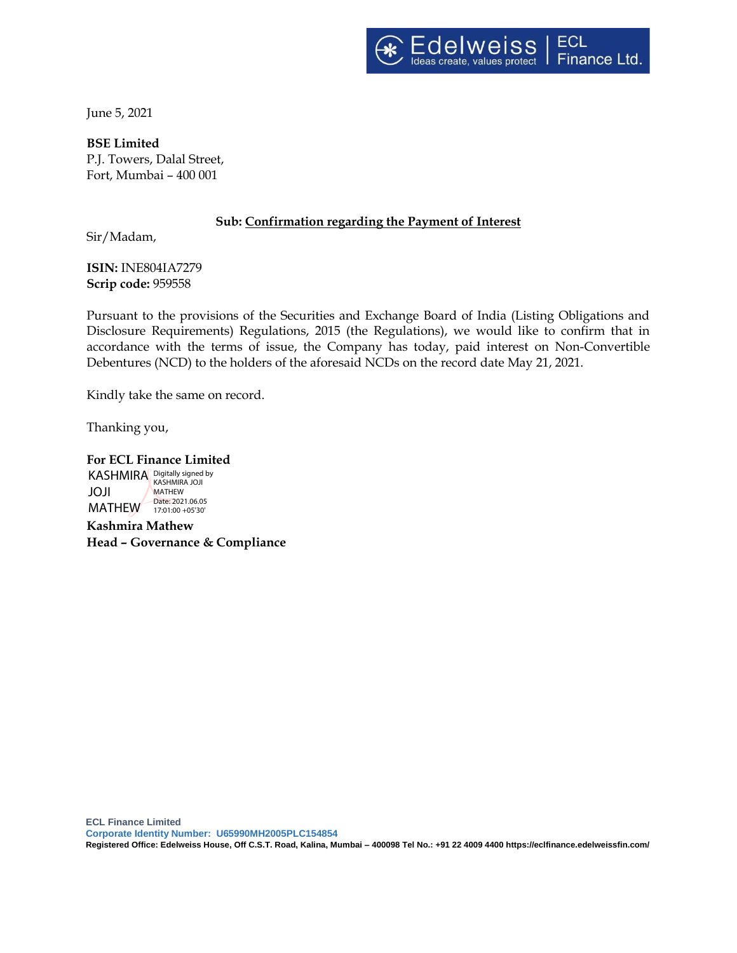

June 5, 2021

**BSE Limited** P.J. Towers, Dalal Street, Fort, Mumbai – 400 001

# **Sub: Confirmation regarding the Payment of Interest**

Sir/Madam,

**ISIN:** INE804IA7279 **Scrip code:** 959558

Pursuant to the provisions of the Securities and Exchange Board of India (Listing Obligations and Disclosure Requirements) Regulations, 2015 (the Regulations), we would like to confirm that in accordance with the terms of issue, the Company has today, paid interest on Non-Convertible Debentures (NCD) to the holders of the aforesaid NCDs on the record date May 21, 2021.

Kindly take the same on record.

Thanking you,

#### **For ECL Finance Limited**

KASHMIRA Digitally signed by JOJI MATHEW 17:01:00 + 05'30' KASHMIRA JOJI MATHEW Date: 2021.06.05

**Kashmira Mathew Head – Governance & Compliance**